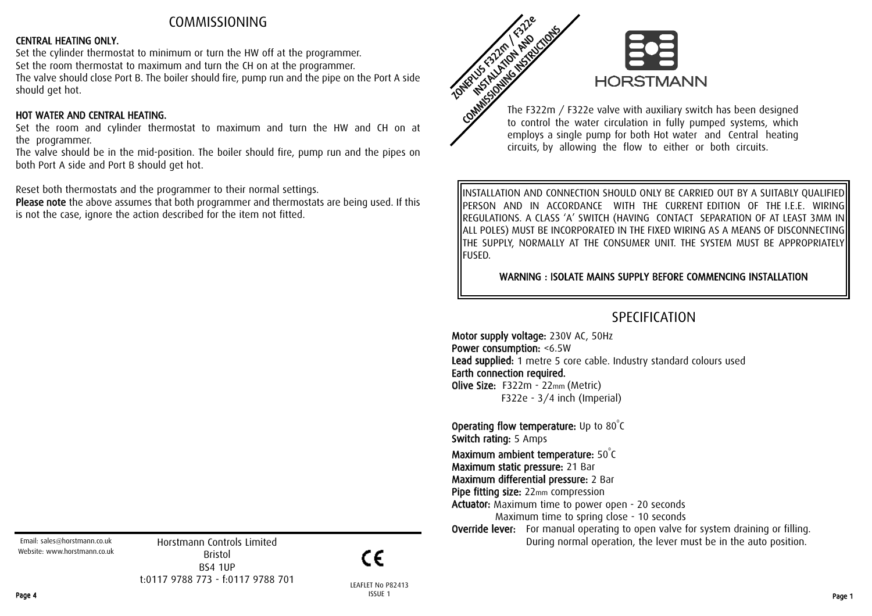## COMMISSIONING

#### CENTRAL HEATING ONLY.

Set the cylinder thermostat to minimum or turn the HW off at the programmer. Set the room thermostat to maximum and turn the CH on at the programmer. The valve should close Port B. The boiler should fire, pump run and the pipe on the Port A side should get hot.

#### HOT WATER AND CENTRAL HEATING.

Set the room and cylinder thermostat to maximum and turn the HW and CH on at the programmer.

The valve should be in the mid-position. The boiler should fire, pump run and the pipes on both Port A side and Port B should get hot.

Reset both thermostats and the programmer to their normal settings.

Please note the above assumes that both programmer and thermostats are being used. If this is not the case, ignore the action described for the item not fitted.



The F322m / F322e valve with auxiliary switch has been designed to control the water circulation in fully pumped systems, which employs a single pump for both Hot water and Central heating circuits, by allowing the flow to either or both circuits.

INSTALLATION AND CONNECTION SHOULD ONLY BE CARRIED OUT BY A SUITABLY QUALIFIED PERSON AND IN ACCORDANCE WITH THE CURRENT EDITION OF THE I.E.E. WIRING REGULATIONS. A CLASS 'A' SWITCH (HAVING CONTACT SEPARATION OF AT LEAST 3MM IN ALL POLES) MUST BE INCORPORATED IN THE FIXED WIRING AS A MEANS OF DISCONNECTING THE SUPPLY, NORMALLY AT THE CONSUMER UNIT. THE SYSTEM MUST BE APPROPRIATELY FUSED.

WARNING : ISOLATE MAINS SUPPLY BEFORE COMMENCING INSTALLATION

# SPECIFICATION

Motor supply voltage: 230V AC, 50Hz Power consumption: <6.5W Lead supplied: 1 metre 5 core cable. Industry standard colours used Earth connection required. Olive Size: F322m - 22mm (Metric) F322e - 3/4 inch (Imperial)

**Operating flow temperature:** Up to  $80^{\circ}$ C Switch rating: 5 Amps Maximum ambient temperature:  $50^{\circ}$ C Maximum static pressure: 21 Bar Maximum differential pressure: 2 Bar

Pipe fitting size: 22mm compression

Actuator: Maximum time to power open - 20 seconds Maximum time to spring close - 10 seconds

**Override lever:** For manual operating to open valve for system draining or filling. During normal operation, the lever must be in the auto position.

Email: sales@horstmann.co.uk Website: www.horstmann.co.uk

Horstmann Controls Limited Bristol BS4 1UP t:0117 9788 773 - f:0117 9788 701

 $\epsilon$ 

LEAFLET No P82413 Page 4 ISSUE 1 ISSUE 1 ISSUE 2 ISSUE 2 ISSUE 2 ISSUE 2 ISSUE 2 ISSUE 2 ISSUE 2 ISSUE 2 ISSUE 2 ISSUE 2 ISSUE 2